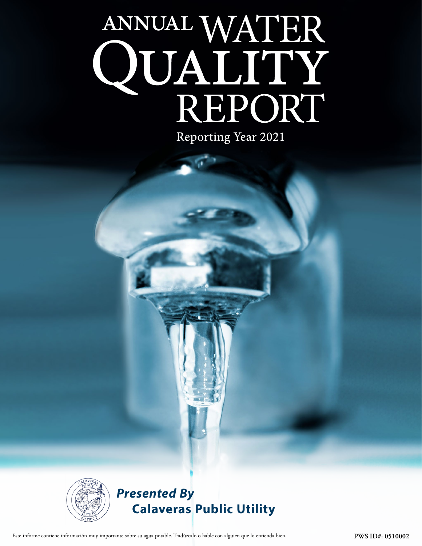# ANNUAL WATER QUALITY<br>REPORT

Reporting Year 2021



## *Presented By* **Calaveras Public Utility**

Este informe contiene información muy importante sobre su agua potable. Tradúzcalo o hable con alguien que lo entienda bien. **PWS ID#: 0510002**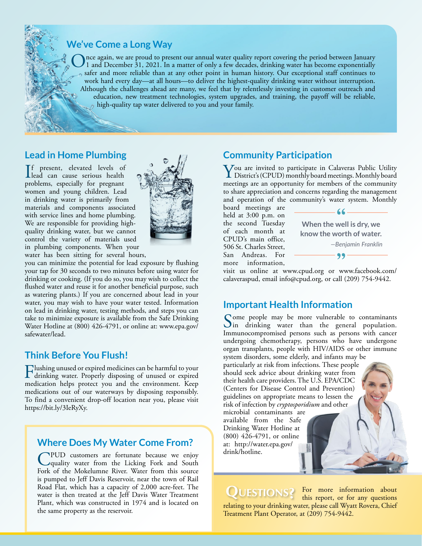

nce again, we are proud to present our annual water quality report covering the period between January 1 and December 31, 2021. In a matter of only a few decades, drinking water has become exponentially safer and more reliable than at any other point in human history. Our exceptional staff continues to work hard every day—at all hours—to deliver the highest-quality drinking water without interruption. Although the challenges ahead are many, we feel that by relentlessly investing in customer outreach and education, new treatment technologies, system upgrades, and training, the payoff will be reliable, high-quality tap water delivered to you and your family.

#### **Lead in Home Plumbing**

If present, elevated levels of<br>lead can cause serious health f present, elevated levels of problems, especially for pregnant women and young children. Lead in drinking water is primarily from materials and components associated with service lines and home plumbing. We are responsible for providing highquality drinking water, but we cannot control the variety of materials used in plumbing components. When your water has been sitting for several hours,



you can minimize the potential for lead exposure by flushing your tap for 30 seconds to two minutes before using water for drinking or cooking. (If you do so, you may wish to collect the flushed water and reuse it for another beneficial purpose, such as watering plants.) If you are concerned about lead in your water, you may wish to have your water tested. Information on lead in drinking water, testing methods, and steps you can take to minimize exposure is available from the Safe Drinking Water Hotline at (800) 426-4791, or online at: [www.epa.gov/](http://www.epa.gov/safewater/lead) [safewater/lead.](http://www.epa.gov/safewater/lead)

#### **Think Before You Flush!**

Flushing unused or expired medicines can be harmful to your drinking water. Properly disposing of unused or expired medication helps protect you and the environment. Keep medications out of our waterways by disposing responsibly. To find a convenient drop-off location near you, please visit [https://bit.ly/3IeRyXy.](https://bit.ly/3IeRyXy)

### **Where Does My Water Come From?**

CPUD customers are fortunate because we enjoy<br>
quality water from the Licking Fork and South<br>
Fight of the Makelumna Bing Water from this course Fork of the Mokelumne River. Water from this source is pumped to Jeff Davis Reservoir, near the town of Rail Road Flat, which has a capacity of 2,000 acre-feet. The water is then treated at the Jeff Davis Water Treatment Plant, which was constructed in 1974 and is located on the same property as the reservoir.

#### **Community Participation**

You are invited to participate in Calaveras Public Utility<br>District's (CPUD) monthly board meetings. Monthly board<br>meetings are an approximation for mambers of the approximation meetings are an opportunity for members of the community to share appreciation and concerns regarding the management and operation of the community's water system. Monthly

board meetings are held at 3:00 p.m. on the second Tuesday of each month at CPUD's main office, 506 St. Charles Street, San Andreas. For more information,



visit us online at [www.cpud.org](http://www.cpud.org) or [www.facebook.com/](http://www.facebook.com/calaveraspud) [calaveraspud](http://www.facebook.com/calaveraspud), email [info@cpud.org,](mailto:info@cpud.org) or call (209) 754-9442.

### **Important Health Information**

Some people may be more vulnerable to contaminants<br>in drinking water than the general population. Immunocompromised persons such as persons with cancer undergoing chemotherapy, persons who have undergone organ transplants, people with HIV/AIDS or other immune system disorders, some elderly, and infants may be

particularly at risk from infections. These people should seek advice about drinking water from their health care providers. The U.S. EPA/CDC (Centers for Disease Control and Prevention) guidelines on appropriate means to lessen the risk of infection by *cryptosporidium* and other

microbial contaminants are available from the Safe Drinking Water Hotline at (800) 426-4791, or online at: [http://water.epa.gov/](http://water.epa.gov/drink/hotline) [drink/hotline](http://water.epa.gov/drink/hotline).

**QUESTIONS?** For more information about this report, or for any questions this report, or for any questions relating to your drinking water, please call Wyatt Rovera, Chief Treatment Plant Operator, at (209) 754-9442.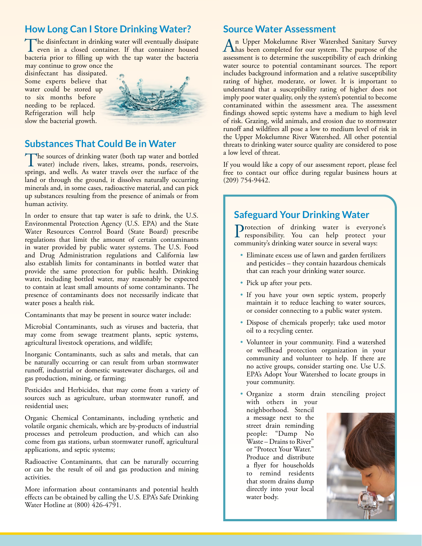### **How Long Can I Store Drinking Water?**

The disinfectant in drinking water will eventually dissipate<br>even in a closed container. If that container housed<br>between with the ten water the hosterie bacteria prior to filling up with the tap water the bacteria may continue to grow once the

disinfectant has dissipated. Some experts believe that water could be stored up to six months before needing to be replaced. Refrigeration will help slow the bacterial growth.



#### **Substances That Could Be in Water**

The sources of drinking water (both tap water and bottled<br>water) include rivers, lakes, streams, ponds, reservoirs, springs, and wells. As water travels over the surface of the land or through the ground, it dissolves naturally occurring minerals and, in some cases, radioactive material, and can pick up substances resulting from the presence of animals or from human activity.

In order to ensure that tap water is safe to drink, the U.S. Environmental Protection Agency (U.S. EPA) and the State Water Resources Control Board (State Board) prescribe regulations that limit the amount of certain contaminants in water provided by public water systems. The U.S. Food and Drug Administration regulations and California law also establish limits for contaminants in bottled water that provide the same protection for public health. Drinking water, including bottled water, may reasonably be expected to contain at least small amounts of some contaminants. The presence of contaminants does not necessarily indicate that water poses a health risk.

Contaminants that may be present in source water include:

Microbial Contaminants, such as viruses and bacteria, that may come from sewage treatment plants, septic systems, agricultural livestock operations, and wildlife;

Inorganic Contaminants, such as salts and metals, that can be naturally occurring or can result from urban stormwater runoff, industrial or domestic wastewater discharges, oil and gas production, mining, or farming;

Pesticides and Herbicides, that may come from a variety of sources such as agriculture, urban stormwater runoff, and residential uses;

Organic Chemical Contaminants, including synthetic and volatile organic chemicals, which are by-products of industrial processes and petroleum production, and which can also come from gas stations, urban stormwater runoff, agricultural applications, and septic systems;

Radioactive Contaminants, that can be naturally occurring or can be the result of oil and gas production and mining activities.

More information about contaminants and potential health effects can be obtained by calling the U.S. EPA's Safe Drinking Water Hotline at (800) 426-4791.

#### **Source Water Assessment**

An Upper Mokelumne River Watershed Sanitary Survey<br>has been completed for our system. The purpose of the<br>comparation of a determine the supermittility of such diplating assessment is to determine the susceptibility of each drinking water source to potential contaminant sources. The report includes background information and a relative susceptibility rating of higher, moderate, or lower. It is important to understand that a susceptibility rating of higher does not imply poor water quality, only the system's potential to become contaminated within the assessment area. The assessment findings showed septic systems have a medium to high level of risk. Grazing, wild animals, and erosion due to stormwater runoff and wildfires all pose a low to medium level of risk in the Upper Mokelumne River Watershed. All other potential threats to drinking water source quality are considered to pose a low level of threat.

If you would like a copy of our assessment report, please feel free to contact our office during regular business hours at (209) 754-9442.

#### **Safeguard Your Drinking Water**

Protection of drinking water is everyone's responsibility. You can help protect your community's drinking water source in several ways:

- Eliminate excess use of lawn and garden fertilizers and pesticides – they contain hazardous chemicals that can reach your drinking water source.
- Pick up after your pets.
- If you have your own septic system, properly maintain it to reduce leaching to water sources, or consider connecting to a public water system.
- Dispose of chemicals properly; take used motor oil to a recycling center.
- Volunteer in your community. Find a watershed or wellhead protection organization in your community and volunteer to help. If there are no active groups, consider starting one. Use U.S. EPA's Adopt Your Watershed to locate groups in your community.
- Organize a storm drain stenciling project with others in your

neighborhood. Stencil a message next to the street drain reminding people: "Dump No Waste – Drains to River" or "Protect Your Water." Produce and distribute a flyer for households to remind residents that storm drains dump directly into your local water body.

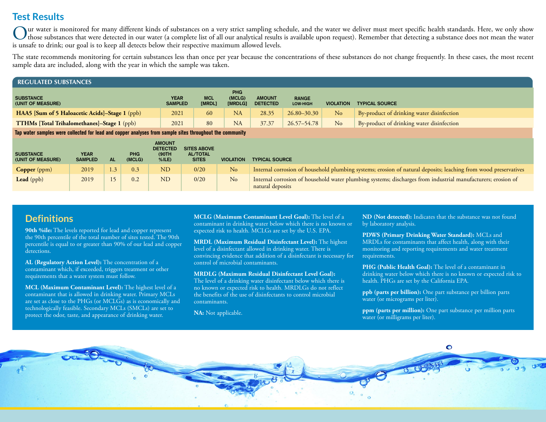#### **Test Results**

Our water is monitored for many different kinds of substances on a very strict sampling schedule, and the water we deliver must meet specific health standards. Here, we only show<br>those substances that were detected in our is unsafe to drink; our goal is to keep all detects below their respective maximum allowed levels.

The state recommends monitoring for certain substances less than once per year because the concentrations of these substances do not change frequently. In these cases, the most recent sample data are included, along with the year in which the sample was taken.

| <b>REGULATED SUBSTANCES</b>                           |                               |                      |                                 |                                  |                          |                  |                                           |  |  |  |
|-------------------------------------------------------|-------------------------------|----------------------|---------------------------------|----------------------------------|--------------------------|------------------|-------------------------------------------|--|--|--|
| <b>SUBSTANCE</b><br>(UNIT OF MEASURE)                 | <b>YEAR</b><br><b>SAMPLED</b> | <b>MCL</b><br>[MRDL] | <b>PHG</b><br>(MCLG)<br>[MRDLG] | <b>AMOUNT</b><br><b>DETECTED</b> | <b>RANGE</b><br>LOW-HIGH | <b>VIOLATION</b> | <b>TYPICAL SOURCE</b>                     |  |  |  |
| <b>HAA5</b> [Sum of 5 Haloacetic Acids]-Stage 1 (ppb) | 2021                          | 60                   | NA                              | 28.35                            | $26.80 - 30.30$          | No               | By-product of drinking water disinfection |  |  |  |
| <b>TTHMs [Total Trihalomethanes]-Stage 1 (ppb)</b>    | 2021                          | 80                   | <b>NA</b>                       | 37.37                            | $26.57 - 54.78$          | N <sub>o</sub>   | By-product of drinking water disinfection |  |  |  |

**Tap water samples were collected for lead and copper analyses from sample sites throughout the community**

| <b>SUBSTANCE</b><br>(UNIT OF MEASURE) | <b>YEAR</b><br><b>SAMPLED</b> | <b>AL</b> | <b>PHG</b><br>(MCLG) | <b>AMOUNT</b><br><b>DETECTED</b><br>(90TH)<br>$%$ ILE) | <b>SITES ABOVE</b><br><b>AL/TOTAL</b><br><b>SITES</b> | <b>VIOLATION</b> | <b>TYPICAL SOURCE</b>                                                                                                            |
|---------------------------------------|-------------------------------|-----------|----------------------|--------------------------------------------------------|-------------------------------------------------------|------------------|----------------------------------------------------------------------------------------------------------------------------------|
| Copper (ppm)                          | 2019                          | 1.3       | 0.3                  | <b>ND</b>                                              | 0/20                                                  | No               | Internal corrosion of household plumbing systems; erosion of natural deposits; leaching from wood preservatives                  |
| Lead (ppb)                            | 2019                          | 15        | 0.2                  | <b>ND</b>                                              | 0/20                                                  | No               | Internal corrosion of household water plumbing systems; discharges from industrial manufacturers; erosion of<br>natural deposits |

#### **Definitions**

**90th %ile:** The levels reported for lead and copper represent the 90th percentile of the total number of sites tested. The 90th percentile is equal to or greater than 90% of our lead and copper detections.

**AL (Regulatory Action Level):** The concentration of a contaminant which, if exceeded, triggers treatment or other requirements that a water system must follow.

**MCL (Maximum Contaminant Level):** The highest level of a contaminant that is allowed in drinking water. Primary MCLs are set as close to the PHGs (or MCLGs) as is economically and technologically feasible. Secondary MCLs (SMCLs) are set to protect the odor, taste, and appearance of drinking water.

**MCLG (Maximum Contaminant Level Goal):** The level of a contaminant in drinking water below which there is no known or expected risk to health. MCLGs are set by the U.S. EPA.

**MRDL (Maximum Residual Disinfectant Level):** The highest level of a disinfectant allowed in drinking water. There is convincing evidence that addition of a disinfectant is necessary for control of microbial contaminants.

**MRDLG (Maximum Residual Disinfectant Level Goal):** The level of a drinking water disinfectant below which there is no known or expected risk to health. MRDLGs do not reflect the benefits of the use of disinfectants to control microbial contaminants.

**NA:** Not applicable.

**ND (Not detected):** Indicates that the substance was not found by laboratory analysis.

**PDWS (Primary Drinking Water Standard):** MCLs and MRDLs for contaminants that affect health, along with their monitoring and reporting requirements and water treatment requirements.

**PHG (Public Health Goal):** The level of a contaminant in drinking water below which there is no known or expected risk to health. PHGs are set by the California EPA.

**ppb (parts per billion):** One part substance per billion parts water (or micrograms per liter).

**ppm (parts per million):** One part substance per million parts water (or milligrams per liter).